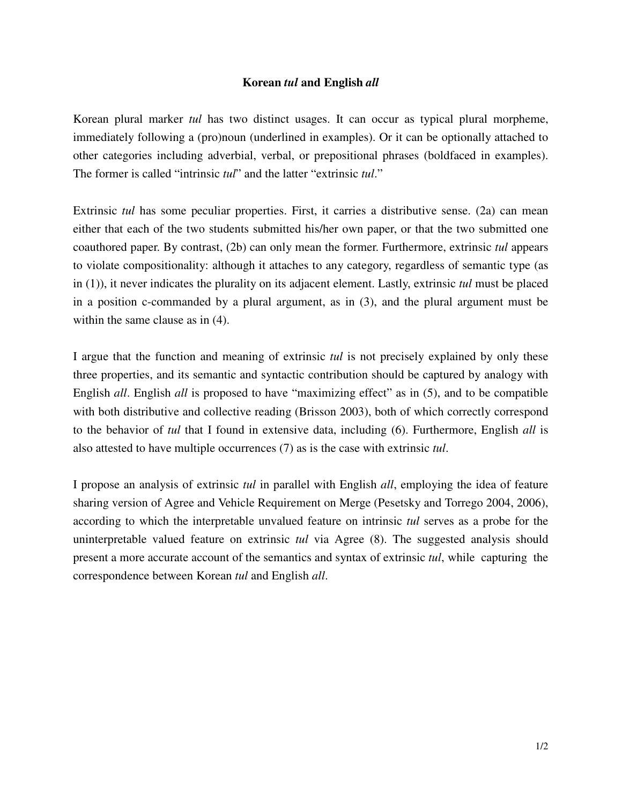## **Korean** *tul* **and English** *all*

Korean plural marker *tul* has two distinct usages. It can occur as typical plural morpheme, immediately following a (pro)noun (underlined in examples). Or it can be optionally attached to other categories including adverbial, verbal, or prepositional phrases (boldfaced in examples). The former is called "intrinsic *tul*" and the latter "extrinsic *tul*."

Extrinsic *tul* has some peculiar properties. First, it carries a distributive sense. (2a) can mean either that each of the two students submitted his/her own paper, or that the two submitted one coauthored paper. By contrast, (2b) can only mean the former. Furthermore, extrinsic *tul* appears to violate compositionality: although it attaches to any category, regardless of semantic type (as in (1)), it never indicates the plurality on its adjacent element. Lastly, extrinsic *tul* must be placed in a position c-commanded by a plural argument, as in (3), and the plural argument must be within the same clause as in (4).

I argue that the function and meaning of extrinsic *tul* is not precisely explained by only these three properties, and its semantic and syntactic contribution should be captured by analogy with English *all*. English *all* is proposed to have "maximizing effect" as in (5), and to be compatible with both distributive and collective reading (Brisson 2003), both of which correctly correspond to the behavior of *tul* that I found in extensive data, including (6). Furthermore, English *all* is also attested to have multiple occurrences (7) as is the case with extrinsic *tul*.

I propose an analysis of extrinsic *tul* in parallel with English *all*, employing the idea of feature sharing version of Agree and Vehicle Requirement on Merge (Pesetsky and Torrego 2004, 2006), according to which the interpretable unvalued feature on intrinsic *tul* serves as a probe for the uninterpretable valued feature on extrinsic *tul* via Agree (8). The suggested analysis should present a more accurate account of the semantics and syntax of extrinsic *tul*, while capturing the correspondence between Korean *tul* and English *all*.